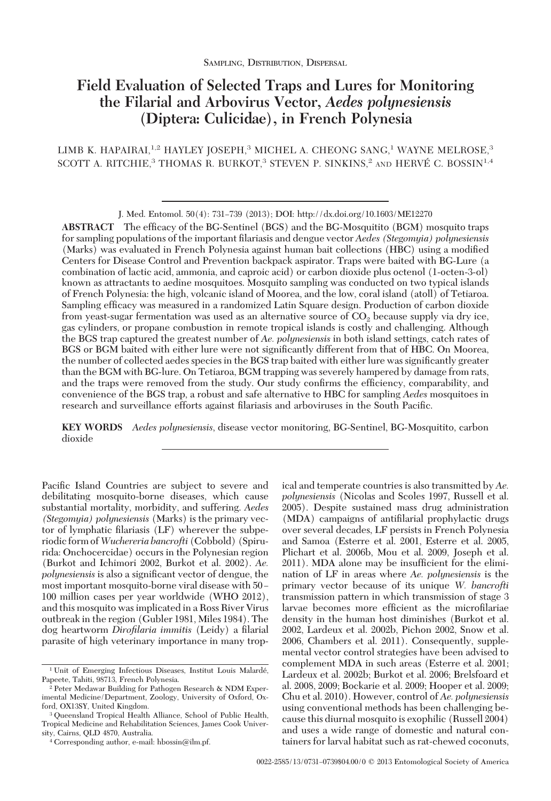# **Field Evaluation of Selected Traps and Lures for Monitoring the Filarial and Arbovirus Vector,** *Aedes polynesiensis* **(Diptera: Culicidae), in French Polynesia**

LIMB K. HAPAIRAI,<sup>1,2</sup> HAYLEY JOSEPH,<sup>3</sup> MICHEL A. CHEONG SANG,<sup>1</sup> WAYNE MELROSE,<sup>3</sup> SCOTT A. RITCHIE,<sup>3</sup> THOMAS R. BURKOT,<sup>3</sup> STEVEN P. SINKINS,<sup>2</sup> AND HERVÉ C. BOSSIN<sup>1,4</sup>

ABSTRACT The efficacy of the BG-Sentinel (BGS) and the BG-Mosquitito (BGM) mosquito traps for sampling populations of the important Þlariasis and dengue vector *Aedes (Stegomyia) polynesiensis* (Marks) was evaluated in French Polynesia against human bait collections (HBC) using a modified Centers for Disease Control and Prevention backpack aspirator. Traps were baited with BG-Lure (a combination of lactic acid, ammonia, and caproic acid) or carbon dioxide plus octenol (1-octen-3-ol) known as attractants to aedine mosquitoes. Mosquito sampling was conducted on two typical islands of French Polynesia: the high, volcanic island of Moorea, and the low, coral island (atoll) of Tetiaroa. Sampling efficacy was measured in a randomized Latin Square design. Production of carbon dioxide from yeast-sugar fermentation was used as an alternative source of  $CO<sub>2</sub>$  because supply via dry ice, gas cylinders, or propane combustion in remote tropical islands is costly and challenging. Although the BGS trap captured the greatest number of *Ae. polynesiensis* in both island settings, catch rates of BGS or BGM baited with either lure were not significantly different from that of HBC. On Moorea, the number of collected aedes species in the BGS trap baited with either lure was significantly greater than the BGM with BG-lure. On Tetiaroa, BGM trapping was severely hampered by damage from rats, and the traps were removed from the study. Our study confirms the efficiency, comparability, and convenience of the BGS trap, a robust and safe alternative to HBC for sampling *Aedes* mosquitoes in research and surveillance efforts against filariasis and arboviruses in the South Pacific.

**KEY WORDS** *Aedes polynesiensis*, disease vector monitoring, BG-Sentinel, BG-Mosquitito, carbon dioxide

Pacific Island Countries are subject to severe and debilitating mosquito-borne diseases, which cause substantial mortality, morbidity, and suffering. *Aedes (Stegomyia) polynesiensis* (Marks) is the primary vector of lymphatic filariasis (LF) wherever the subperiodic form of*Wuchereria bancrofti* (Cobbold) (Spirurida: Onchocercidae) occurs in the Polynesian region (Burkot and Ichimori 2002, Burkot et al. 2002). *Ae. polynesiensis* is also a significant vector of dengue, the most important mosquito-borne viral disease with 50 -100 million cases per year worldwide (WHO 2012), and this mosquito was implicated in a Ross River Virus outbreak in the region (Gubler 1981, Miles 1984). The dog heartworm *Dirofilaria immitis* (Leidy) a Þlarial parasite of high veterinary importance in many trop-

ical and temperate countries is also transmitted by *Ae. polynesiensis* (Nicolas and Scoles 1997, Russell et al. 2005). Despite sustained mass drug administration (MDA) campaigns of antifilarial prophylactic drugs over several decades, LF persists in French Polynesia and Samoa (Esterre et al. 2001, Esterre et al. 2005, Plichart et al. 2006b, Mou et al. 2009, Joseph et al. 2011). MDA alone may be insufficient for the elimination of LF in areas where *Ae. polynesiensis* is the primary vector because of its unique *W. bancrofti* transmission pattern in which transmission of stage 3 larvae becomes more efficient as the microfilariae density in the human host diminishes (Burkot et al. 2002, Lardeux et al. 2002b, Pichon 2002, Snow et al. 2006, Chambers et al. 2011). Consequently, supplemental vector control strategies have been advised to complement MDA in such areas (Esterre et al. 2001; Lardeux et al. 2002b; Burkot et al. 2006; Brelsfoard et al. 2008, 2009; Bockarie et al. 2009; Hooper et al. 2009; Chu et al. 2010). However, control of *Ae. polynesiensis* using conventional methods has been challenging because this diurnal mosquito is exophilic (Russell 2004) and uses a wide range of domestic and natural containers for larval habitat such as rat-chewed coconuts,

J. Med. Entomol. 50(4): 731–739 (2013); DOI: http://dx.doi.org/10.1603/ME12270

<sup>&</sup>lt;sup>1</sup> Unit of Emerging Infectious Diseases, Institut Louis Malardé, Papeete, Tahiti, 98713, French Polynesia.

Peter Medawar Building for Pathogen Research & NDM Experimental Medicine/Department, Zoology, University of Oxford, Oxford, OX13SY, United Kingdom.

<sup>3</sup> Queensland Tropical Health Alliance, School of Public Health, Tropical Medicine and Rehabilitation Sciences, James Cook University, Cairns, QLD 4870, Australia.

<sup>&</sup>lt;sup>4</sup> Corresponding author, e-mail: hbossin@ilm.pf.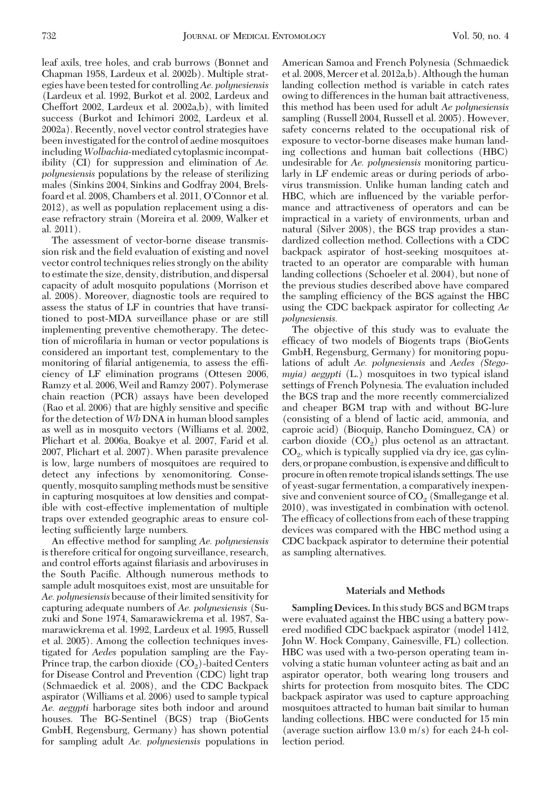leaf axils, tree holes, and crab burrows (Bonnet and Chapman 1958, Lardeux et al. 2002b). Multiple strategies have been tested for controlling*Ae. polynesiensis* (Lardeux et al. 1992, Burkot et al. 2002, Lardeux and Cheffort 2002, Lardeux et al. 2002a,b), with limited success (Burkot and Ichimori 2002, Lardeux et al. 2002a). Recently, novel vector control strategies have been investigated for the control of aedine mosquitoes including*Wolbachia*-mediated cytoplasmicincompatibility (CI) for suppression and elimination of *Ae. polynesiensis* populations by the release of sterilizing males (Sinkins 2004, Sinkins and Godfray 2004, Brelsfoard et al. 2008, Chambers et al. 2011, O'Connor et al. 2012), as well as population replacement using a disease refractory strain (Moreira et al. 2009, Walker et al. 2011).

The assessment of vector-borne disease transmission risk and the field evaluation of existing and novel vector control techniques relies strongly on the ability to estimate the size, density, distribution, and dispersal capacity of adult mosquito populations (Morrison et al. 2008). Moreover, diagnostic tools are required to assess the status of LF in countries that have transitioned to post-MDA surveillance phase or are still implementing preventive chemotherapy. The detection of microfilaria in human or vector populations is considered an important test, complementary to the monitoring of filarial antigenemia, to assess the efficiency of LF elimination programs (Ottesen 2006, Ramzy et al. 2006, Weil and Ramzy 2007). Polymerase chain reaction (PCR) assays have been developed (Rao et al. 2006) that are highly sensitive and specific for the detection of *Wb* DNA in human blood samples as well as in mosquito vectors (Williams et al. 2002, Plichart et al. 2006a, Boakye et al. 2007, Farid et al. 2007, Plichart et al. 2007). When parasite prevalence is low, large numbers of mosquitoes are required to detect any infections by xenomonitoring. Consequently, mosquito sampling methods must be sensitive in capturing mosquitoes at low densities and compatible with cost-effective implementation of multiple traps over extended geographic areas to ensure collecting sufficiently large numbers.

An effective method for sampling *Ae. polynesiensis* is therefore critical for ongoing surveillance, research, and control efforts against filariasis and arboviruses in the South Pacific. Although numerous methods to sample adult mosquitoes exist, most are unsuitable for *Ae. polynesiensis* because of their limited sensitivity for capturing adequate numbers of *Ae. polynesiensis* (Suzuki and Sone 1974, Samarawickrema et al. 1987, Samarawickrema et al. 1992, Lardeux et al. 1995, Russell et al. 2005). Among the collection techniques investigated for *Aedes* population sampling are the Fay-Prince trap, the carbon dioxide  $(CO<sub>2</sub>)$ -baited Centers for Disease Control and Prevention (CDC) light trap (Schmaedick et al. 2008), and the CDC Backpack aspirator (Williams et al. 2006) used to sample typical *Ae. aegypti* harborage sites both indoor and around houses. The BG-Sentinel (BGS) trap (BioGents GmbH, Regensburg, Germany) has shown potential for sampling adult *Ae. polynesiensis* populations in

American Samoa and French Polynesia (Schmaedick et al. 2008, Mercer et al. 2012a,b). Although the human landing collection method is variable in catch rates owing to differences in the human bait attractiveness, this method has been used for adult *Ae polynesiensis* sampling (Russell 2004, Russell et al. 2005). However, safety concerns related to the occupational risk of exposure to vector-borne diseases make human landing collections and human bait collections (HBC) undesirable for *Ae. polynesiensis* monitoring particularly in LF endemic areas or during periods of arbovirus transmission. Unlike human landing catch and HBC, which are inßuenced by the variable performance and attractiveness of operators and can be impractical in a variety of environments, urban and natural (Silver 2008), the BGS trap provides a standardized collection method. Collections with a CDC backpack aspirator of host-seeking mosquitoes attracted to an operator are comparable with human landing collections (Schoeler et al. 2004), but none of the previous studies described above have compared the sampling efficiency of the BGS against the HBC using the CDC backpack aspirator for collecting *Ae polynesiensis.*

The objective of this study was to evaluate the efficacy of two models of Biogents traps (BioGents GmbH, Regensburg, Germany) for monitoring populations of adult *Ae. polynesiensis* and *Aedes (Stegomyia) aegypti* (L.) mosquitoes in two typical island settings of French Polynesia. The evaluation included the BGS trap and the more recently commercialized and cheaper BGM trap with and without BG-lure (consisting of a blend of lactic acid, ammonia, and caproic acid) (Bioquip, Rancho Dominguez, CA) or carbon dioxide  $(CO<sub>2</sub>)$  plus octenol as an attractant.  $CO<sub>2</sub>$ , which is typically supplied via dry ice, gas cylinders, or propane combustion, is expensive and difficult to procure in often remote tropical islands settings. The use of yeast-sugar fermentation, a comparatively inexpensive and convenient source of  $CO<sub>2</sub>$  (Smallegange et al. 2010), was investigated in combination with octenol. The efficacy of collections from each of these trapping devices was compared with the HBC method using a CDC backpack aspirator to determine their potential as sampling alternatives.

## **Materials and Methods**

**Sampling Devices.**In this study BGS and BGM traps were evaluated against the HBC using a battery powered modified CDC backpack aspirator (model 1412, John W. Hock Company, Gainesville, FL) collection. HBC was used with a two-person operating team involving a static human volunteer acting as bait and an aspirator operator, both wearing long trousers and shirts for protection from mosquito bites. The CDC backpack aspirator was used to capture approaching mosquitoes attracted to human bait similar to human landing collections. HBC were conducted for 15 min (average suction airflow  $13.0 \text{ m/s}$ ) for each 24-h collection period.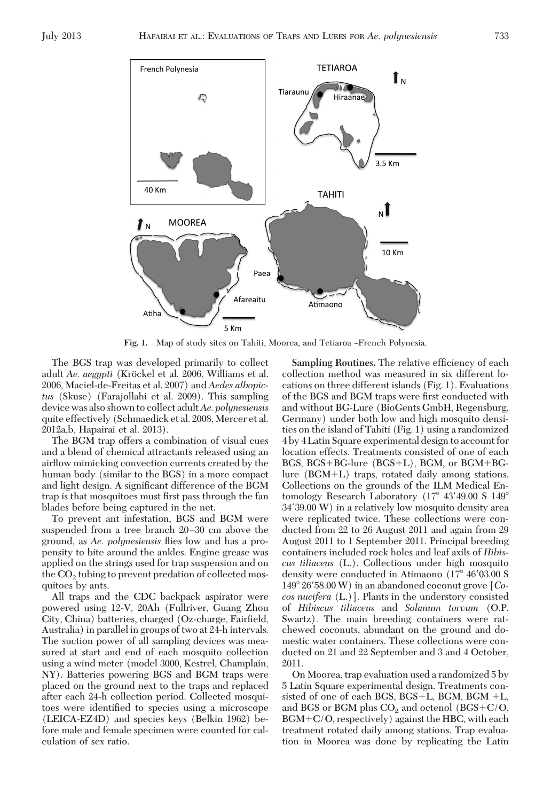

Fig. 1. Map of study sites on Tahiti, Moorea, and Tetiaroa -French Polynesia.

The BGS trap was developed primarily to collect adult *Ae. aegypti* (Kröckel et al. 2006, Williams et al. 2006, Maciel-de-Freitas et al. 2007) and *Aedes albopictus* (Skuse) (Farajollahi et al. 2009). This sampling device was also shown to collect adult*Ae. polynesiensis* quite effectively (Schmaedick et al. 2008, Mercer et al. 2012a,b, Hapairai et al. 2013).

The BGM trap offers a combination of visual cues and a blend of chemical attractants released using an airßow mimicking convection currents created by the human body (similar to the BGS) in a more compact and light design. A significant difference of the BGM trap is that mosquitoes must first pass through the fan blades before being captured in the net.

To prevent ant infestation, BGS and BGM were suspended from a tree branch 20–30 cm above the ground, as *Ae. polynesiensis* ßies low and has a propensity to bite around the ankles. Engine grease was applied on the strings used for trap suspension and on the  $CO<sub>2</sub>$  tubing to prevent predation of collected mosquitoes by ants.

All traps and the CDC backpack aspirator were powered using 12-V, 20Ah (Fullriver, Guang Zhou City, China) batteries, charged (Oz-charge, Fairfield, Australia) in parallel in groups of two at 24-h intervals. The suction power of all sampling devices was measured at start and end of each mosquito collection using a wind meter (model 3000, Kestrel, Champlain, NY). Batteries powering BGS and BGM traps were placed on the ground next to the traps and replaced after each 24-h collection period. Collected mosquitoes were identified to species using a microscope (LEICA-EZ4D) and species keys (Belkin 1962) before male and female specimen were counted for calculation of sex ratio.

**Sampling Routines.** The relative efficiency of each collection method was measured in six different locations on three different islands (Fig. 1). Evaluations of the BGS and BGM traps were first conducted with and without BG-Lure (BioGents GmbH, Regensburg, Germany) under both low and high mosquito densities on the island of Tahiti (Fig. 1) using a randomized 4 by 4 Latin Square experimental design to account for location effects. Treatments consisted of one of each BGS,  $BGS + BG$ -lure ( $BGS + L$ ),  $BGM$ , or  $BGM + BG$  $lure (BGM+L)$  traps, rotated daily among stations. Collections on the grounds of the ILM Medical Entomology Research Laboratory  $(17^{\circ} 43'49.00 S 149^{\circ}$ 34'39.00 W) in a relatively low mosquito density area were replicated twice. These collections were conducted from 22 to 26 August 2011 and again from 29 August 2011 to 1 September 2011. Principal breeding containers included rock holes and leaf axils of *Hibiscus tiliaceus* (L.). Collections under high mosquito density were conducted in Atimaono  $(17^{\circ} 46' 03.00 S)$ 149" 26#58.00 W) in an abandoned coconut grove [*Cocos nucifera* (L.)]. Plants in the understory consisted of *Hibiscus tiliaceus* and *Solanum torvum* (O.P. Swartz). The main breeding containers were ratchewed coconuts, abundant on the ground and domestic water containers. These collections were conducted on 21 and 22 September and 3 and 4 October, 2011.

On Moorea, trap evaluation used a randomized 5 by 5 Latin Square experimental design. Treatments consisted of one of each BGS,  $BGS+L$ ,  $BGM$ ,  $BGM +L$ , and BGS or BGM plus  $CO<sub>2</sub>$  and octenol (BGS+C/O,  $BGM + C/O$ , respectively) against the HBC, with each treatment rotated daily among stations. Trap evaluation in Moorea was done by replicating the Latin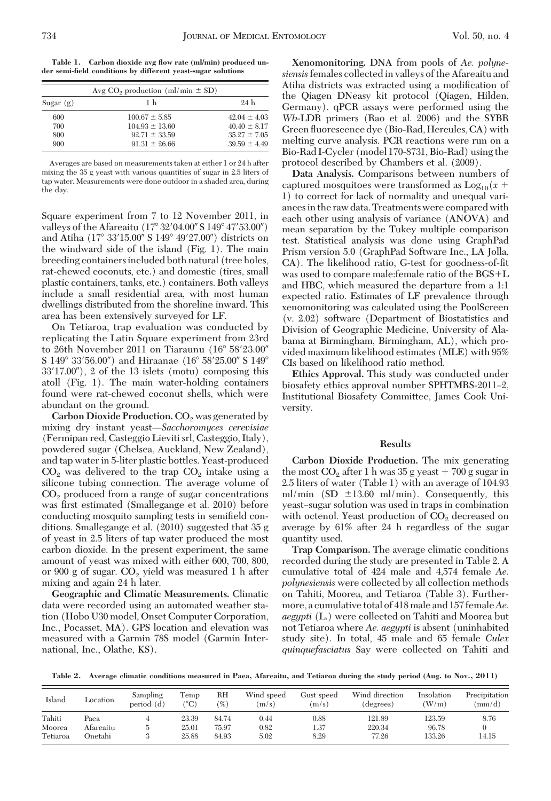**Table 1. Carbon dioxide avg flow rate (ml/min) produced under semi-field conditions by different yeast-sugar solutions**

|             | Avg $CO2$ production (ml/min $\pm$ SD) |                  |
|-------------|----------------------------------------|------------------|
| Sugar $(g)$ | 1 <sub>h</sub>                         | 9.4 <sub>h</sub> |
| 600         | $100.67 \pm 5.85$                      | $42.04 \pm 4.03$ |
| 700         | $104.93 \pm 13.60$                     | $40.40 \pm 8.17$ |
| 800         | $92.71 \pm 33.59$                      | $35.27 \pm 7.05$ |
| 900         | $91.31 \pm 26.66$                      | $39.59 \pm 4.49$ |

Averages are based on measurements taken at either 1 or 24 h after mixing the 35 g yeast with various quantities of sugar in 2.5 liters of tap water. Measurements were done outdoor in a shaded area, during the day.

Square experiment from 7 to 12 November 2011, in valleys of the Afareaitu  $(17^{\circ} 32' 04.00'' S 149^{\circ} 47' 53.00'')$ and Atiha (17° 33'15.00" S 149° 49'27.00") districts on the windward side of the island (Fig. 1). The main breeding containers included both natural (tree holes, rat-chewed coconuts, etc.) and domestic (tires, small plastic containers, tanks, etc.) containers. Both valleys include a small residential area, with most human dwellings distributed from the shoreline inward. This area has been extensively surveyed for LF.

On Tetiaroa, trap evaluation was conducted by replicating the Latin Square experiment from 23rd to 26th November 2011 on Tiaraunu  $(16^{\circ} 58' 23.00'$ S 149° 33′56.00") and Hiraanae (16° 58′ 25.00" S 149°  $33'17.00'$ , 2 of the 13 islets (motu) composing this atoll (Fig. 1). The main water-holding containers found were rat-chewed coconut shells, which were abundant on the ground.

**Carbon Dioxide Production.** CO<sub>2</sub> was generated by mixing dry instant yeast—Sacchoromyces cerevisiae (Fermipan red, Casteggio Lieviti srl, Casteggio, Italy), powdered sugar (Chelsea, Auckland, New Zealand), and tap water in 5-liter plastic bottles. Yeast-produced  $CO<sub>2</sub>$  was delivered to the trap  $CO<sub>2</sub>$  intake using a silicone tubing connection. The average volume of  $CO<sub>2</sub>$  produced from a range of sugar concentrations was first estimated (Smallegange et al. 2010) before conducting mosquito sampling tests in semifield conditions. Smallegange et al. (2010) suggested that 35 g of yeast in 2.5 liters of tap water produced the most carbon dioxide. In the present experiment, the same amount of yeast was mixed with either 600, 700, 800, or 900 g of sugar.  $CO<sub>2</sub>$  yield was measured 1 h after mixing and again 24 h later.

**Geographic and Climatic Measurements.** Climatic data were recorded using an automated weather station (Hobo U30 model, Onset Computer Corporation, Inc., Pocasset, MA). GPS location and elevation was measured with a Garmin 78S model (Garmin International, Inc., Olathe, KS).

**Xenomonitoring.** DNA from pools of *Ae. polynesiensis*females collected in valleys of the Afareaitu and Atiha districts was extracted using a modification of the Qiagen DNeasy kit protocol (Qiagen, Hilden, Germany). qPCR assays were performed using the *Wb*-LDR primers (Rao et al. 2006) and the SYBR Green ßuorescence dye (Bio-Rad, Hercules, CA) with melting curve analysis. PCR reactions were run on a Bio-Rad I-Cycler (model 170-8731, Bio-Rad) using the protocol described by Chambers et al. (2009).

**Data Analysis.** Comparisons between numbers of captured mosquitoes were transformed as  $Log_{10}(x +$ 1) to correct for lack of normality and unequal variancesin the raw data. Treatments were compared with each other using analysis of variance (ANOVA) and mean separation by the Tukey multiple comparison test. Statistical analysis was done using GraphPad Prism version 5.0 (GraphPad Software Inc., LA Jolla, CA). The likelihood ratio, G-test for goodness-of-fit was used to compare male: female ratio of the  $BGS+L$ and HBC, which measured the departure from a 1:1 expected ratio. Estimates of LF prevalence through xenomonitoring was calculated using the PoolScreen (v. 2.02) software (Department of Biostatistics and Division of Geographic Medicine, University of Alabama at Birmingham, Birmingham, AL), which provided maximum likelihood estimates (MLE) with 95% CIs based on likelihood ratio method.

**Ethics Approval.** This study was conducted under biosafety ethics approval number SPHTMRS-2011-2, Institutional Biosafety Committee, James Cook University.

## **Results**

**Carbon Dioxide Production.** The mix generating the most  $CO_2$  after 1 h was 35 g yeast  $+700$  g sugar in 2.5 liters of water (Table 1) with an average of 104.93 ml/min (SD  $\pm$ 13.60 ml/min). Consequently, this yeast-sugar solution was used in traps in combination with octenol. Yeast production of CO<sub>2</sub> decreased on average by 61% after 24 h regardless of the sugar quantity used.

**Trap Comparison.** The average climatic conditions recorded during the study are presented in Table 2. A cumulative total of 424 male and 4,574 female *Ae. polynesiensis* were collected by all collection methods on Tahiti, Moorea, and Tetiaroa (Table 3). Furthermore, a cumulative total of 418 male and 157 female*Ae. aegypti* (L.) were collected on Tahiti and Moorea but not Tetiaroa where *Ae. aegypti* is absent (uninhabited study site). In total, 45 male and 65 female *Culex quinquefasciatus* Say were collected on Tahiti and

**Table 2. Average climatic conditions measured in Paea, Afareaitu, and Tetiaroa during the study period (Aug. to Nov., 2011)**

| Island   | Location  | Sampling<br>period (d) | Temp<br>$^{\circ}$ C) | RH<br>$\%)$ | Wind speed<br>(m/s) | Gust speed<br>(m/s) | Wind direction<br>(degrees) | Insolation<br>(W/m) | Precipitation<br>(mm/d) |
|----------|-----------|------------------------|-----------------------|-------------|---------------------|---------------------|-----------------------------|---------------------|-------------------------|
| Tahiti   | Paea      |                        | 23.39                 | 84.74       | 0.44                | 0.88                | 121.89                      | 123.59              | 8.76                    |
| Moorea   | Afareaitu |                        | 25.01                 | 75.97       | 0.82                | 1.37                | 220.34                      | 96.78               |                         |
| Tetiaroa | Onetahi   |                        | 25.88                 | 84.93       | 5.02                | 8.29                | 77.26                       | 133.26              | 14.15                   |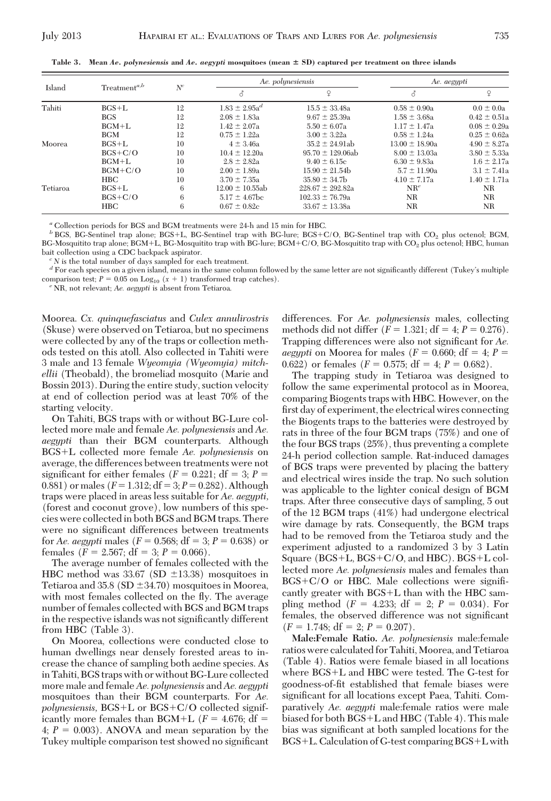| Island   | $Treatment^{a,b}$ | $N^c$ |                      | Ae. polynesiensis    |                    | Ae. aegypti      |  |
|----------|-------------------|-------|----------------------|----------------------|--------------------|------------------|--|
|          |                   |       | в                    | P                    | Z                  | $\mathsf{Q}$     |  |
| Tahiti   | $BGS+L$           | 12    | $1.83 \pm 2.95a^{d}$ | $15.5 \pm 33.48a$    | $0.58 \pm 0.90a$   | $0.0 \pm 0.0a$   |  |
|          | <b>BGS</b>        | 12    | $2.08 \pm 1.83a$     | $9.67 \pm 25.39a$    | $1.58 \pm 3.68a$   | $0.42 \pm 0.51a$ |  |
|          | $BGM+L$           | 12    | $1.42 \pm 2.07a$     | $5.50 \pm 6.07$ a    | $1.17 \pm 1.47$ a  | $0.08 \pm 0.29a$ |  |
|          | <b>BGM</b>        | 12    | $0.75 \pm 1.22a$     | $3.00 \pm 3.22a$     | $0.58 \pm 1.24a$   | $0.25 \pm 0.62a$ |  |
| Moorea   | $BGS+L$           | 10    | $4 \pm 3.46a$        | $35.2 \pm 24.91ab$   | $13.00 \pm 18.90a$ | $4.90 \pm 8.27a$ |  |
|          | $BGS + C/O$       | 10    | $10.4 \pm 12.20a$    | $95.70 \pm 129.06ab$ | $8.00 \pm 13.03a$  | $3.80 \pm 5.33a$ |  |
|          | $BGM+L$           | 10    | $2.8 \pm 2.82a$      | $9.40 \pm 6.15c$     | $6.30 \pm 9.83a$   | $1.6 \pm 2.17$ a |  |
|          | $BGM+C/O$         | 10    | $2.00 \pm 1.89a$     | $15.90 \pm 21.54$    | $5.7 \pm 11.90a$   | $3.1 \pm 7.41a$  |  |
|          | <b>HBC</b>        | 10    | $3.70 \pm 7.35a$     | $35.80 \pm 34.7$     | $4.10 \pm 7.17$ a  | $1.40 \pm 1.71a$ |  |
| Tetiaroa | $BGS+L$           | 6     | $12.00 \pm 10.55$ ab | $228.67 \pm 292.82a$ | $NR^e$             | NR.              |  |
|          | $BGS+C/O$         | 6     | $5.17 \pm 4.67$ bc   | $102.33 \pm 76.79a$  | NR                 | NR               |  |
|          | <b>HBC</b>        | 6     | $0.67 \pm 0.82c$     | $33.67 \pm 13.38a$   | NR                 | NR               |  |

**Table 3. Mean** *Ae. polynesiensis* **and** *Ae. aegypti* **mosquitoes (mean** ! **SD) captured per treatment on three islands**

*<sup>a</sup>* Collection periods for BGS and BGM treatments were 24-h and 15 min for HBC.

*b* BGS, BG-Sentinel trap alone; BGS+L, BG-Sentinel trap with BG-lure; BGS+C/O, BG-Sentinel trap with CO<sub>2</sub> plus octenol; BGM, BG-Mosquitito trap alone; BGM+L, BG-Mosquitito trap with BG-lure; BGM+C/O, BG-Mosquitito trap with CO<sub>2</sub> plus octenol; HBC, human bait collection using a CDC backpack aspirator.

 $^c\rm\,N$  is the total number of days sampled for each treatment. The same letter are not significantly different (Tukey's multiple  $^d$  For each species on a given island, means in the same column followed by the same le comparison test;  $P = 0.05$  on  $Log_{10} (x + 1)$  transformed trap catches). *e* NR, not relevant; *Ae. aegypti* is absent from Tetiaroa.

Moorea. *Cx. quinquefasciatus* and *Culex annulirostris* (Skuse) were observed on Tetiaroa, but no specimens were collected by any of the traps or collection methods tested on this atoll. Also collected in Tahiti were 3 male and 13 female *Wyeomyia (Wyeomyia) mitchellii* (Theobald), the bromeliad mosquito (Marie and Bossin 2013). During the entire study, suction velocity at end of collection period was at least 70% of the starting velocity.

On Tahiti, BGS traps with or without BG-Lure collected more male and female *Ae. polynesiensis* and *Ae. aegypti* than their BGM counterparts. Although BGS+L collected more female *Ae. polynesiensis* on average, the differences between treatments were not significant for either females  $(F = 0.221; df = 3; P =$ 0.881) or males  $(F = 1.312; df = 3; P = 0.282)$ . Although traps were placed in areas less suitable for *Ae. aegypti,* (forest and coconut grove), low numbers of this species were collected in both BGS and BGM traps. There were no significant differences between treatments for *Ae. aegypti* males ( $F = 0.568$ ; df = 3;  $P = 0.638$ ) or females  $(F = 2.567; df = 3; P = 0.066)$ .

The average number of females collected with the HBC method was 33.67 (SD  $\pm$ 13.38) mosquitoes in Tetiaroa and 35.8 (SD  $\pm$ 34.70) mosquitoes in Moorea, with most females collected on the fly. The average number of females collected with BGS and BGM traps in the respective islands was not significantly different from HBC (Table 3).

On Moorea, collections were conducted close to human dwellings near densely forested areas to increase the chance of sampling both aedine species. As in Tahiti, BGS traps with or without BG-Lure collected more male and female*Ae. polynesiensis* and*Ae. aegypti* mosquitoes than their BGM counterparts. For *Ae.*  $polynesiensis$ ,  $BGS+L$  or  $BGS+C/O$  collected significantly more females than BGM+L ( $F = 4.676$ ; df = 4;  $P = 0.003$ ). ANOVA and mean separation by the Tukey multiple comparison test showed no significant

differences. For *Ae. polynesiensis* males, collecting methods did not differ  $(F = 1.321; df = 4; P = 0.276)$ . Trapping differences were also not significant for *Ae*. *aegypti* on Moorea for males ( $F = 0.660$ ; df = 4;  $P =$ 0.622) or females  $(F = 0.575; df = 4; P = 0.682)$ .

The trapping study in Tetiaroa was designed to follow the same experimental protocol as in Moorea, comparing Biogents traps with HBC. However, on the first day of experiment, the electrical wires connecting the Biogents traps to the batteries were destroyed by rats in three of the four BGM traps (75%) and one of the four BGS traps (25%), thus preventing a complete 24-h period collection sample. Rat-induced damages of BGS traps were prevented by placing the battery and electrical wires inside the trap. No such solution was applicable to the lighter conical design of BGM traps. After three consecutive days of sampling, 5 out of the 12 BGM traps (41%) had undergone electrical wire damage by rats. Consequently, the BGM traps had to be removed from the Tetiaroa study and the experiment adjusted to a randomized 3 by 3 Latin Square (BGS+L, BGS+C/O, and HBC). BGS+L collected more *Ae. polynesiensis* males and females than  $BGS + C/O$  or HBC. Male collections were significantly greater with  $BGS+L$  than with the HBC sampling method  $(F = 4.233; df = 2; P = 0.034)$ . For females, the observed difference was not significant  $(F = 1.748; df = 2; P = 0.207).$ 

**Male:Female Ratio.** *Ae. polynesiensis* male:female ratios were calculated for Tahiti, Moorea, and Tetiaroa (Table 4). Ratios were female biased in all locations where BGS+L and HBC were tested. The G-test for goodness-of-fit established that female biases were significant for all locations except Paea, Tahiti. Comparatively *Ae. aegypti* male:female ratios were male biased for both BGS+L and HBC (Table 4). This male bias was significant at both sampled locations for the  $BGS+L$ . Calculation of G-test comparing  $BGS+L$  with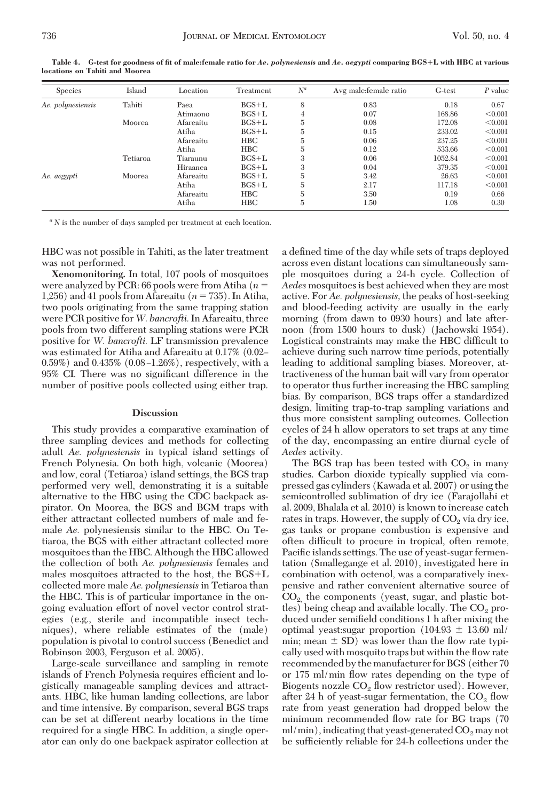| <b>Species</b>    | Island   | Location  | Treatment  | $N^a$ | Avg male: female ratio | G-test  | P value |
|-------------------|----------|-----------|------------|-------|------------------------|---------|---------|
| Ae. polynesiensis | Tahiti   | Paea      | $BGS+L$    | 8     | 0.83                   | 0.18    | 0.67    |
|                   |          | Atimaono  | $BGS+L$    |       | 0.07                   | 168.86  | < 0.001 |
|                   | Moorea   | Afareaitu | $BGS+L$    | 5     | 0.08                   | 172.08  | < 0.001 |
|                   |          | Atiha     | $BGS+L$    |       | 0.15                   | 233.02  | < 0.001 |
|                   |          | Afareaitu | <b>HBC</b> | 5     | 0.06                   | 237.25  | < 0.001 |
|                   |          | Atiha     | <b>HBC</b> | 5     | 0.12                   | 533.66  | < 0.001 |
|                   | Tetiaroa | Tiaraunu  | $BGS+L$    | 3     | 0.06                   | 1052.84 | < 0.001 |
|                   |          | Hiraanea  | $BGS+L$    | 3     | 0.04                   | 379.35  | < 0.001 |
| Ae. aegypti       | Moorea   | Afareaitu | $BGS+L$    | 5     | 3.42                   | 26.63   | < 0.001 |
|                   |          | Atiha     | $BGS+L$    | 5     | 2.17                   | 117.18  | < 0.001 |
|                   |          | Afareaitu | <b>HBC</b> | 5     | 3.50                   | 0.19    | 0.66    |
|                   |          | Atiha     | <b>HBC</b> | 5     | 1.50                   | 1.08    | 0.30    |

**Table 4. G-test for goodness of fit of male:female ratio for** *Ae. polynesiensis* **and** *Ae. aegypti* **comparing BGS**"**L with HBC at various locations on Tahiti and Moorea**

*<sup>a</sup> N* is the number of days sampled per treatment at each location.

HBC was not possible in Tahiti, as the later treatment was not performed.

**Xenomonitoring.** In total, 107 pools of mosquitoes were analyzed by PCR: 66 pools were from Atiha  $(n =$ 1,256) and 41 pools from Afareaitu  $(n = 735)$ . In Atiha, two pools originating from the same trapping station were PCR positive for*W. bancrofti.*In Afareaitu, three pools from two different sampling stations were PCR positive for *W. bancrofti.* LF transmission prevalence was estimated for Atiha and Afareaitu at 0.17% (0.02– 0.59%) and 0.435%  $(0.08-1.26%)$ , respectively, with a 95% CI. There was no significant difference in the number of positive pools collected using either trap.

#### **Discussion**

This study provides a comparative examination of three sampling devices and methods for collecting adult *Ae. polynesiensis* in typical island settings of French Polynesia. On both high, volcanic (Moorea) and low, coral (Tetiaroa) island settings, the BGS trap performed very well, demonstrating it is a suitable alternative to the HBC using the CDC backpack aspirator. On Moorea, the BGS and BGM traps with either attractant collected numbers of male and female *Ae.* polynesiensis similar to the HBC. On Tetiaroa, the BGS with either attractant collected more mosquitoes than the HBC. Although the HBC allowed the collection of both *Ae. polynesiensis* females and males mosquitoes attracted to the host, the  $BGS+L$ collected more male *Ae. polynesiensis* in Tetiaroa than the HBC. This is of particular importance in the ongoing evaluation effort of novel vector control strategies (e.g., sterile and incompatible insect techniques), where reliable estimates of the (male) population is pivotal to control success (Benedict and Robinson 2003, Ferguson et al. 2005).

Large-scale surveillance and sampling in remote islands of French Polynesia requires efficient and logistically manageable sampling devices and attractants. HBC, like human landing collections, are labor and time intensive. By comparison, several BGS traps can be set at different nearby locations in the time required for a single HBC. In addition, a single operator can only do one backpack aspirator collection at

a defined time of the day while sets of traps deployed across even distant locations can simultaneously sample mosquitoes during a 24-h cycle. Collection of *Aedes* mosquitoes is best achieved when they are most active. For *Ae. polynesiensis,* the peaks of host-seeking and blood-feeding activity are usually in the early morning (from dawn to 0930 hours) and late afternoon (from 1500 hours to dusk) (Jachowski 1954). Logistical constraints may make the HBC difficult to achieve during such narrow time periods, potentially leading to additional sampling biases. Moreover, attractiveness of the human bait will vary from operator to operator thus further increasing the HBC sampling bias. By comparison, BGS traps offer a standardized design, limiting trap-to-trap sampling variations and thus more consistent sampling outcomes. Collection cycles of 24 h allow operators to set traps at any time of the day, encompassing an entire diurnal cycle of *Aedes* activity.

The BGS trap has been tested with  $CO<sub>2</sub>$  in many studies. Carbon dioxide typically supplied via compressed gas cylinders (Kawada et al. 2007) or using the semicontrolled sublimation of dry ice (Farajollahi et al. 2009, Bhalala et al. 2010) is known to increase catch rates in traps. However, the supply of  $CO<sub>2</sub>$  via dry ice, gas tanks or propane combustion is expensive and often difficult to procure in tropical, often remote, Pacific islands settings. The use of yeast-sugar fermentation (Smallegange et al. 2010), investigated here in combination with octenol, was a comparatively inexpensive and rather convenient alternative source of  $CO<sub>2</sub>$ , the components (yeast, sugar, and plastic bottles) being cheap and available locally. The  $CO<sub>2</sub>$  produced under semifield conditions 1 h after mixing the optimal yeast:sugar proportion  $(104.93 \pm 13.60 \text{ ml})$ min; mean  $\pm$  SD) was lower than the flow rate typically used with mosquito traps but within the ßow rate recommended by the manufacturer for BGS (either 70 or 175 ml/min ßow rates depending on the type of Biogents nozzle  $CO<sub>2</sub>$  flow restrictor used). However, after 24 h of yeast-sugar fermentation, the  $CO<sub>2</sub>$  flow rate from yeast generation had dropped below the minimum recommended ßow rate for BG traps (70 ml/min), indicating that yeast-generated CO<sub>2</sub> may not be sufficiently reliable for 24-h collections under the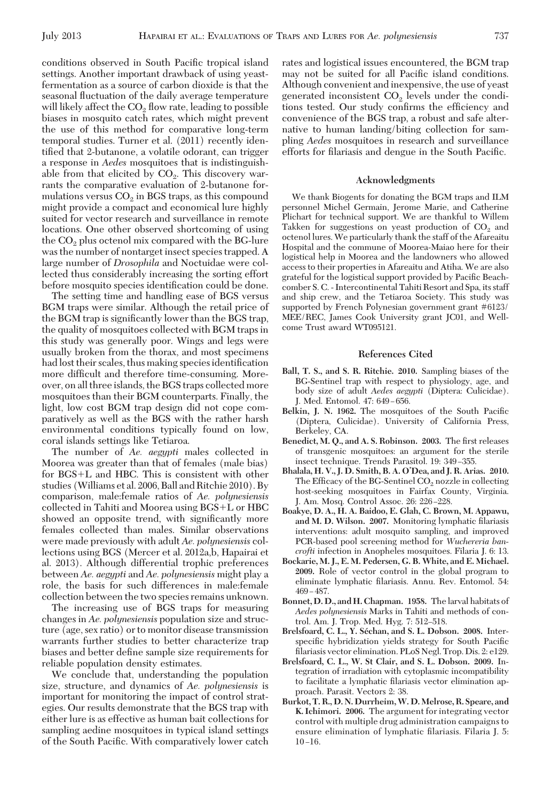conditions observed in South Pacific tropical island settings. Another important drawback of using yeastfermentation as a source of carbon dioxide is that the seasonal ßuctuation of the daily average temperature will likely affect the  $CO<sub>2</sub>$  flow rate, leading to possible biases in mosquito catch rates, which might prevent the use of this method for comparative long-term temporal studies. Turner et al. (2011) recently identified that 2-butanone, a volatile odorant, can trigger a response in *Aedes* mosquitoes that is indistinguishable from that elicited by  $CO<sub>2</sub>$ . This discovery warrants the comparative evaluation of 2-butanone formulations versus  $CO<sub>2</sub>$  in BGS traps, as this compound might provide a compact and economical lure highly suited for vector research and surveillance in remote locations. One other observed shortcoming of using the  $CO<sub>2</sub>$  plus octenol mix compared with the BG-lure was the number of nontarget insect species trapped. A large number of *Drosophila* and Noctuidae were collected thus considerably increasing the sorting effort before mosquito species identification could be done.

The setting time and handling ease of BGS versus BGM traps were similar. Although the retail price of the BGM trap is significantly lower than the BGS trap, the quality of mosquitoes collected with BGM traps in this study was generally poor. Wings and legs were usually broken from the thorax, and most specimens had lost their scales, thus making species identification more difficult and therefore time-consuming. Moreover, on all three islands, the BGS traps collected more mosquitoes than their BGM counterparts. Finally, the light, low cost BGM trap design did not cope comparatively as well as the BGS with the rather harsh environmental conditions typically found on low, coral islands settings like Tetiaroa.

The number of *Ae. aegypti* males collected in Moorea was greater than that of females (male bias) for  $BGS+L$  and HBC. This is consistent with other studies (Williams et al. 2006, Ball and Ritchie 2010). By comparison, male:female ratios of *Ae. polynesiensis* collected in Tahiti and Moorea using  $BGS+L$  or  $HBC$ showed an opposite trend, with significantly more females collected than males. Similar observations were made previously with adult *Ae. polynesiensis* collections using BGS (Mercer et al. 2012a,b, Hapairai et al. 2013). Although differential trophic preferences between *Ae. aegypti* and *Ae. polynesiensis* might play a role, the basis for such differences in male:female collection between the two species remains unknown.

The increasing use of BGS traps for measuring changes in *Ae. polynesiensis* population size and structure (age, sex ratio) or to monitor disease transmission warrants further studies to better characterize trap biases and better define sample size requirements for reliable population density estimates.

We conclude that, understanding the population size, structure, and dynamics of *Ae. polynesiensis* is important for monitoring the impact of control strategies. Our results demonstrate that the BGS trap with either lure is as effective as human bait collections for sampling aedine mosquitoes in typical island settings of the South Pacific. With comparatively lower catch

rates and logistical issues encountered, the BGM trap may not be suited for all Pacific island conditions. Although convenient and inexpensive, the use of yeast generated inconsistent  $CO<sub>2</sub>$  levels under the conditions tested. Our study confirms the efficiency and convenience of the BGS trap, a robust and safe alternative to human landing/biting collection for sampling *Aedes* mosquitoes in research and surveillance efforts for filariasis and dengue in the South Pacific.

### **Acknowledgments**

We thank Biogents for donating the BGM traps and ILM personnel Michel Germain, Jerome Marie, and Catherine Plichart for technical support. We are thankful to Willem Takken for suggestions on yeast production of  $CO<sub>2</sub>$  and octenol lures. We particularly thank the staff of the Afareaitu Hospital and the commune of Moorea-Maiao here for their logistical help in Moorea and the landowners who allowed access to their properties in Afareaitu and Atiha. We are also grateful for the logistical support provided by Pacific Beachcomber S. C. - Intercontinental Tahiti Resort and Spa, its staff and ship crew, and the Tetiaroa Society. This study was supported by French Polynesian government grant #6123/ MEE/REC, James Cook University grant JC01, and Wellcome Trust award WT095121.

## **References Cited**

- **Ball, T. S., and S. R. Ritchie. 2010.** Sampling biases of the BG-Sentinel trap with respect to physiology, age, and body size of adult *Aedes aegypti* (Diptera: Culicidae). J. Med. Entomol. 47: 649-656.
- Belkin, J. N. 1962. The mosquitoes of the South Pacific (Diptera, Culicidae). University of California Press, Berkeley, CA.
- **Benedict, M. O., and A. S. Robinson. 2003.** The first releases of transgenic mosquitoes: an argument for the sterile insect technique. Trends Parasitol. 19: 349-355.
- **Bhalala, H. V., J. D. Smith, B. A. O'Dea, and J. R. Arias. 2010.** The Efficacy of the BG-Sentinel  $CO<sub>2</sub>$  nozzle in collecting host-seeking mosquitoes in Fairfax County, Virginia. J. Am. Mosq. Control Assoc. 26: 226-228.
- **Boakye, D. A., H. A. Baidoo, E. Glah, C. Brown, M. Appawu,** and M. D. Wilson. 2007. Monitoring lymphatic filariasis interventions: adult mosquito sampling, and improved PCR-based pool screening method for *Wuchereria bancrofti* infection in Anopheles mosquitoes. Filaria J. 6: 13.
- **Bockarie, M. J., E. M. Pedersen, G. B. White, and E. Michael. 2009.** Role of vector control in the global program to eliminate lymphatic filariasis. Annu. Rev. Entomol. 54:  $469 - 487$
- **Bonnet, D. D., and H. Chapman. 1958.** The larval habitats of *Aedes polynesiensis* Marks in Tahiti and methods of control. Am. J. Trop. Med. Hyg. 7: 512-518.
- **Brelsfoard, C. L., Y. Se´chan, and S. L. Dobson. 2008.** Interspecific hybridization yields strategy for South Pacific filariasis vector elimination. PLoS Negl. Trop. Dis. 2: e129.
- **Brelsfoard, C. L., W. St Clair, and S. L. Dobson. 2009.** Integration of irradiation with cytoplasmic incompatibility to facilitate a lymphatic filariasis vector elimination approach. Parasit. Vectors 2: 38.
- **Burkot, T. R., D. N. Durrheim,W. D. Melrose, R. Speare, and K. Ichimori. 2006.** The argument for integrating vector control with multiple drug administration campaigns to ensure elimination of lymphatic filariasis. Filaria J. 5:  $10-16.$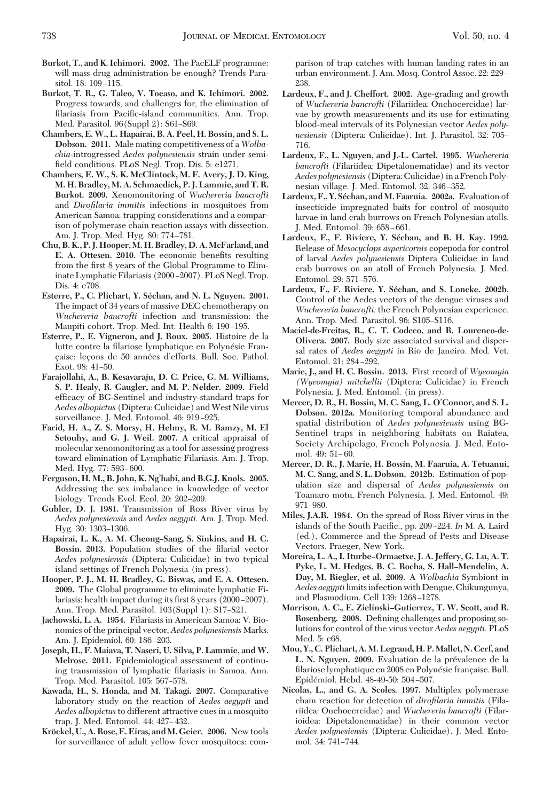- **Burkot, T., and K. Ichimori. 2002.** The PacELF programme: will mass drug administration be enough? Trends Parasitol. 18: 109-115.
- **Burkot, T. R., G. Taleo, V. Toeaso, and K. Ichimori. 2002.** Progress towards, and challenges for, the elimination of filariasis from Pacific-island communities. Ann. Trop. Med. Parasitol. 96(Suppl 2): S61-S69.
- **Chambers, E. W., L. Hapairai, B. A. Peel, H. Bossin, and S. L. Dobson. 2011.** Male mating competitiveness of a *Wolbachia*-introgressed *Aedes polynesiensis* strain under semifield conditions. PLoS Negl. Trop. Dis. 5: e1271.
- **Chambers, E. W., S. K. McClintock, M. F. Avery, J. D. King, M. H. Bradley, M. A. Schmaedick, P. J. Lammie, and T. R. Burkot. 2009.** Xenomonitoring of *Wuchereria bancrofti* and *Dirofilaria immitis* infections in mosquitoes from American Samoa: trapping considerations and a comparison of polymerase chain reaction assays with dissection. Am. J. Trop. Med. Hyg. 80: 774-781.
- **Chu, B. K., P. J. Hooper, M. H. Bradley, D. A. McFarland, and E. A. Ottesen. 2010.** The economic benefits resulting from the first 8 years of the Global Programme to Eliminate Lymphatic Filariasis (2000-2007). PLoS Negl. Trop. Dis. 4: e708.
- **Esterre, P., C. Plichart, Y. Se´chan, and N. L. Nguyen. 2001.** The impact of 34 years of massive DEC chemotherapy on *Wuchereria bancrofti* infection and transmission: the Maupiti cohort. Trop. Med. Int. Health 6: 190-195.
- **Esterre, P., E. Vigneron, and J. Roux. 2005.** Histoire de la lutte contre la filariose lymphatique en Polynésie Francaise: leçons de 50 années d'efforts. Bull. Soc. Pathol. Exot. 98: 41-50.
- **Farajollahi, A., B. Kesavaraju, D. C. Price, G. M. Williams, S. P. Healy, R. Gaugler, and M. P. Nelder. 2009.** Field efficacy of BG-Sentinel and industry-standard traps for *Aedes albopictus* (Diptera: Culicidae) andWest Nile virus surveillance. J. Med. Entomol. 46: 919-925.
- **Farid, H. A., Z. S. Morsy, H. Helmy, R. M. Ramzy, M. El Setouhy, and G. J. Weil. 2007.** A critical appraisal of molecular xenomonitoring as a tool for assessing progress toward elimination of Lymphatic Filariasis. Am. J. Trop. Med. Hyg. 77: 593-600.
- **Ferguson, H. M., B. John, K. Ng'habi, and B.G.J. Knols. 2005.** Addressing the sex imbalance in knowledge of vector biology. Trends Evol. Ecol. 20: 202-209.
- **Gubler, D. J. 1981.** Transmission of Ross River virus by *Aedes polynesiensis* and *Aedes aegypti.* Am. J. Trop. Med. Hyg. 30: 1303-1306.
- **Hapairai, L. K., A. M. Cheong–Sang, S. Sinkins, and H. C.** Bossin. 2013. Population studies of the filarial vector *Aedes polynesiensis* (Diptera: Culicidae) in two typical island settings of French Polynesia (in press).
- **Hooper, P. J., M. H. Bradley, G. Biswas, and E. A. Ottesen. 2009.** The Global programme to eliminate lymphatic Filariasis: health impact during its first 8 years (2000–2007). Ann. Trop. Med. Parasitol.  $103(Suppl 1)$ :  $S17-S21$ .
- **Jachowski, L. A. 1954.** Filariasis in American Samoa: V. Bionomics of the principal vector, *Aedes polynesiensis* Marks. Am. J. Epidemiol. 60: 186-203.
- **Joseph, H., F. Maiava, T. Naseri, U. Silva, P. Lammie, and W. Melrose. 2011.** Epidemiological assessment of continuing transmission of lymphatic filariasis in Samoa. Ann. Trop. Med. Parasitol. 105: 567-578.
- **Kawada, H., S. Honda, and M. Takagi. 2007.** Comparative laboratory study on the reaction of *Aedes aegypti* and *Aedes albopictus*to different attractive cues in a mosquito trap. J. Med. Entomol. 44: 427-432.
- **Kro¨ckel, U., A. Rose, E. Eiras, and M. Geier. 2006.** New tools for surveillance of adult yellow fever mosquitoes: com-

parison of trap catches with human landing rates in an urban environment. J. Am. Mosq. Control Assoc. 22: 229 -238.

- **Lardeux, F., and J. Cheffort. 2002.** Age-grading and growth of *Wuchereria bancrofti* (Filariidea: Onchocercidae) larvae by growth measurements and its use for estimating blood-meal intervals of its Polynesian vector *Aedes poly*nesiensis (Diptera: Culicidae). Int. J. Parasitol. 32: 705-716.
- **Lardeux, F., L. Nguyen, and J.-L. Cartel. 1995.** *Wuchereria bancrofti* (Filariidea: Dipetalonematidae) and its vector *Aedes polynesiensis* (Diptera: Culicidae) in a French Polynesian village. J. Med. Entomol. 32: 346-352.
- **Lardeux, F., Y. Se´chan, and M. Faaruia. 2002a.** Evaluation of insecticide impregnated baits for control of mosquito larvae in land crab burrows on French Polynesian atolls. J. Med. Entomol. 39: 658-661.
- **Lardeux, F., F. Riviere, Y. Se´chan, and B. H. Kay. 1992.** Release of *Mesocyclops aspericornis* copepoda for control of larval *Aedes polynesiensis* Diptera Culicidae in land crab burrows on an atoll of French Polynesia. J. Med. Entomol. 29: 571-576.
- **Lardeux, F., F. Riviere, Y. Se´chan, and S. Loncke. 2002b.** Control of the Aedes vectors of the dengue viruses and *Wuchereria bancrofti:* the French Polynesian experience. Ann. Trop. Med. Parasitol. 96: S105-S116.
- **Maciel-de-Freitas, R., C. T. Codeco, and R. Lourenco-de-Olivera. 2007.** Body size associated survival and dispersal rates of *Aedes aegypti* in Rio de Janeiro. Med. Vet. Entomol. 21: 284-292.
- **Marie, J., and H. C. Bossin. 2013.** First record of *Wyeomyia (Wyeomyia) mitchellii* (Diptera: Culicidae) in French Polynesia. J. Med. Entomol. (in press).
- **Mercer, D. R., H. Bossin, M. C. Sang, L. O'Connor, and S. L. Dobson. 2012a.** Monitoring temporal abundance and spatial distribution of *Aedes polynesiensis* using BG-Sentinel traps in neighboring habitats on Raiatea, Society Archipelago, French Polynesia. J. Med. Entomol. 49: 51-60.
- **Mercer, D. R., J. Marie, H. Bossin, M. Faaruia, A. Tetuanui, M. C. Sang, and S. L. Dobson. 2012b.** Estimation of population size and dispersal of *Aedes polynesiensis* on Toamaro motu, French Polynesia. J. Med. Entomol. 49: 971–980.
- **Miles, J.A.R. 1984.** On the spread of Ross River virus in the islands of the South Pacific., pp. 209–224. *In* M. A. Laird (ed.), Commerce and the Spread of Pests and Disease Vectors. Praeger, New York.
- **Moreira, L. A., I. Iturbe–Ormaetxe, J. A. Jeffery, G. Lu, A. T. Pyke, L. M. Hedges, B. C. Rocha, S. Hall–Mendelin, A. Day, M. Riegler, et al. 2009.** A *Wolbachia* Symbiont in *Aedes aegypti*limitsinfection with Dengue, Chikungunya, and Plasmodium. Cell 139: 1268-1278.
- **Morrison, A. C., E. Zielinski–Gutierrez, T. W. Scott, and R.** Rosenberg. 2008. Defining challenges and proposing solutions for control of the virus vector *Aedes aegypti.* PLoS Med. 5: e68.
- **Mou, Y., C. Plichart, A. M. Legrand, H. P. Mallet, N. Cerf, and L. N. Nguyen. 2009. Evaluation de la prévalence de la** filariose lymphatique en 2008 en Polynésie française. Bull. Epidémiol. Hebd. 48-49-50: 504-507.
- **Nicolas, L., and G. A. Scoles. 1997.** Multiplex polymerase chain reaction for detection of *dirofilaria immitis* (Filariidea: Onchocercidae) and *Wuchereria bancrofti* (Filarioidea: Dipetalonematidae) in their common vector *Aedes polynesiensis* (Diptera: Culicidae). J. Med. Entomol. 34: 741-744.